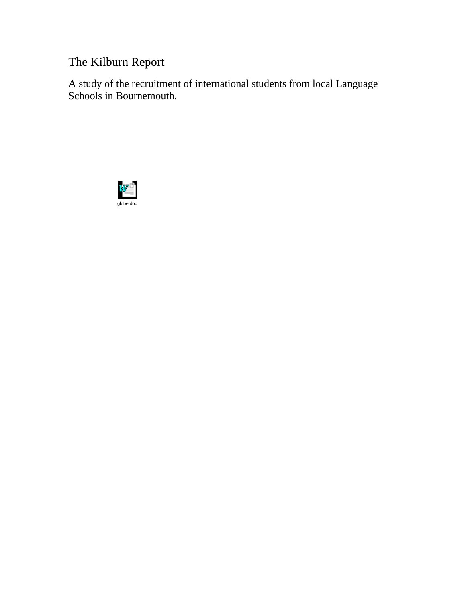# The Kilburn Report

A study of the recruitment of international students from local Language Schools in Bournemouth.

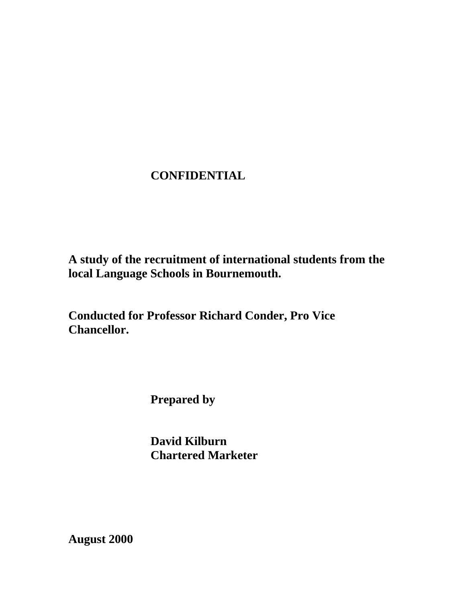# **CONFIDENTIAL**

**A study of the recruitment of international students from the local Language Schools in Bournemouth.** 

**Conducted for Professor Richard Conder, Pro Vice Chancellor.** 

 **Prepared by** 

 **David Kilburn Chartered Marketer** 

**August 2000**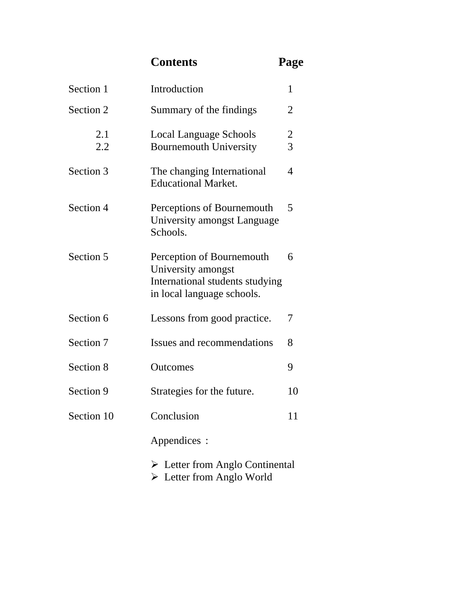**Contents Page** 

| Section 1  | Introduction<br>1                                                                                                |                                           |  |
|------------|------------------------------------------------------------------------------------------------------------------|-------------------------------------------|--|
| Section 2  | Summary of the findings                                                                                          |                                           |  |
| 2.1<br>2.2 | Local Language Schools<br><b>Bournemouth University</b>                                                          | $\overline{\mathbf{c}}$<br>$\overline{3}$ |  |
| Section 3  | The changing International<br><b>Educational Market.</b>                                                         | 4                                         |  |
| Section 4  | Perceptions of Bournemouth<br>University amongst Language<br>Schools.                                            | 5                                         |  |
| Section 5  | Perception of Bournemouth<br>University amongst<br>International students studying<br>in local language schools. | 6                                         |  |
| Section 6  | Lessons from good practice.                                                                                      | 7                                         |  |
| Section 7  | Issues and recommendations                                                                                       | 8                                         |  |
| Section 8  | Outcomes                                                                                                         | 9                                         |  |
| Section 9  | Strategies for the future.                                                                                       | 10                                        |  |
| Section 10 | Conclusion                                                                                                       | 11                                        |  |
|            | Appendices :                                                                                                     |                                           |  |
|            | $\triangleright$ Letter from Anglo Continental<br>$\triangleright$ Letter from Anglo World                       |                                           |  |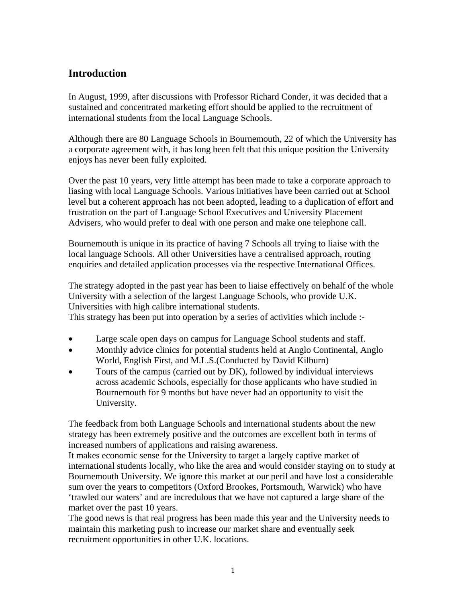# **Introduction**

In August, 1999, after discussions with Professor Richard Conder, it was decided that a sustained and concentrated marketing effort should be applied to the recruitment of international students from the local Language Schools.

Although there are 80 Language Schools in Bournemouth, 22 of which the University has a corporate agreement with, it has long been felt that this unique position the University enjoys has never been fully exploited.

Over the past 10 years, very little attempt has been made to take a corporate approach to liasing with local Language Schools. Various initiatives have been carried out at School level but a coherent approach has not been adopted, leading to a duplication of effort and frustration on the part of Language School Executives and University Placement Advisers, who would prefer to deal with one person and make one telephone call.

Bournemouth is unique in its practice of having 7 Schools all trying to liaise with the local language Schools. All other Universities have a centralised approach, routing enquiries and detailed application processes via the respective International Offices.

The strategy adopted in the past year has been to liaise effectively on behalf of the whole University with a selection of the largest Language Schools, who provide U.K. Universities with high calibre international students.

This strategy has been put into operation by a series of activities which include :-

- Large scale open days on campus for Language School students and staff.
- Monthly advice clinics for potential students held at Anglo Continental, Anglo World, English First, and M.L.S.(Conducted by David Kilburn)
- Tours of the campus (carried out by DK), followed by individual interviews across academic Schools, especially for those applicants who have studied in Bournemouth for 9 months but have never had an opportunity to visit the University.

The feedback from both Language Schools and international students about the new strategy has been extremely positive and the outcomes are excellent both in terms of increased numbers of applications and raising awareness.

It makes economic sense for the University to target a largely captive market of international students locally, who like the area and would consider staying on to study at Bournemouth University. We ignore this market at our peril and have lost a considerable sum over the years to competitors (Oxford Brookes, Portsmouth, Warwick) who have 'trawled our waters' and are incredulous that we have not captured a large share of the market over the past 10 years.

The good news is that real progress has been made this year and the University needs to maintain this marketing push to increase our market share and eventually seek recruitment opportunities in other U.K. locations.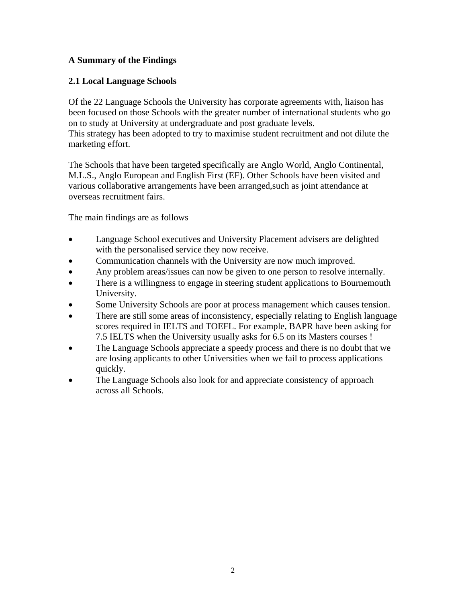# **A Summary of the Findings**

# **2.1 Local Language Schools**

Of the 22 Language Schools the University has corporate agreements with, liaison has been focused on those Schools with the greater number of international students who go on to study at University at undergraduate and post graduate levels. This strategy has been adopted to try to maximise student recruitment and not dilute the marketing effort.

The Schools that have been targeted specifically are Anglo World, Anglo Continental, M.L.S., Anglo European and English First (EF). Other Schools have been visited and various collaborative arrangements have been arranged,such as joint attendance at overseas recruitment fairs.

The main findings are as follows

- Language School executives and University Placement advisers are delighted with the personalised service they now receive.
- Communication channels with the University are now much improved.
- Any problem areas/issues can now be given to one person to resolve internally.
- There is a willingness to engage in steering student applications to Bournemouth University.
- Some University Schools are poor at process management which causes tension.
- There are still some areas of inconsistency, especially relating to English language scores required in IELTS and TOEFL. For example, BAPR have been asking for 7.5 IELTS when the University usually asks for 6.5 on its Masters courses !
- The Language Schools appreciate a speedy process and there is no doubt that we are losing applicants to other Universities when we fail to process applications quickly.
- The Language Schools also look for and appreciate consistency of approach across all Schools.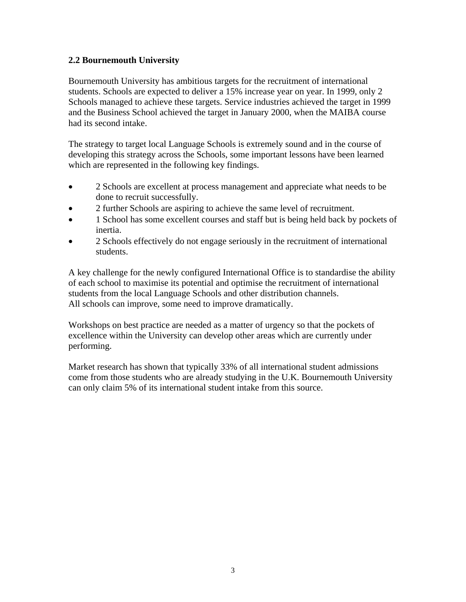# **2.2 Bournemouth University**

Bournemouth University has ambitious targets for the recruitment of international students. Schools are expected to deliver a 15% increase year on year. In 1999, only 2 Schools managed to achieve these targets. Service industries achieved the target in 1999 and the Business School achieved the target in January 2000, when the MAIBA course had its second intake.

The strategy to target local Language Schools is extremely sound and in the course of developing this strategy across the Schools, some important lessons have been learned which are represented in the following key findings.

- 2 Schools are excellent at process management and appreciate what needs to be done to recruit successfully.
- 2 further Schools are aspiring to achieve the same level of recruitment.
- 1 School has some excellent courses and staff but is being held back by pockets of inertia.
- 2 Schools effectively do not engage seriously in the recruitment of international students.

A key challenge for the newly configured International Office is to standardise the ability of each school to maximise its potential and optimise the recruitment of international students from the local Language Schools and other distribution channels. All schools can improve, some need to improve dramatically.

Workshops on best practice are needed as a matter of urgency so that the pockets of excellence within the University can develop other areas which are currently under performing.

Market research has shown that typically 33% of all international student admissions come from those students who are already studying in the U.K. Bournemouth University can only claim 5% of its international student intake from this source.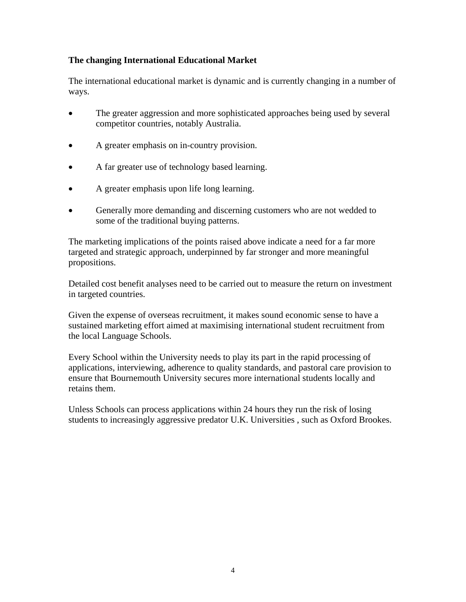# **The changing International Educational Market**

The international educational market is dynamic and is currently changing in a number of ways.

- The greater aggression and more sophisticated approaches being used by several competitor countries, notably Australia.
- A greater emphasis on in-country provision.
- A far greater use of technology based learning.
- A greater emphasis upon life long learning.
- Generally more demanding and discerning customers who are not wedded to some of the traditional buying patterns.

The marketing implications of the points raised above indicate a need for a far more targeted and strategic approach, underpinned by far stronger and more meaningful propositions.

Detailed cost benefit analyses need to be carried out to measure the return on investment in targeted countries.

Given the expense of overseas recruitment, it makes sound economic sense to have a sustained marketing effort aimed at maximising international student recruitment from the local Language Schools.

Every School within the University needs to play its part in the rapid processing of applications, interviewing, adherence to quality standards, and pastoral care provision to ensure that Bournemouth University secures more international students locally and retains them.

Unless Schools can process applications within 24 hours they run the risk of losing students to increasingly aggressive predator U.K. Universities , such as Oxford Brookes.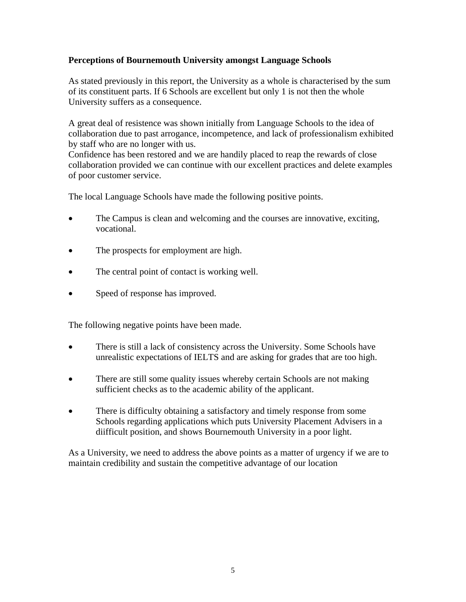# **Perceptions of Bournemouth University amongst Language Schools**

As stated previously in this report, the University as a whole is characterised by the sum of its constituent parts. If 6 Schools are excellent but only 1 is not then the whole University suffers as a consequence.

A great deal of resistence was shown initially from Language Schools to the idea of collaboration due to past arrogance, incompetence, and lack of professionalism exhibited by staff who are no longer with us.

Confidence has been restored and we are handily placed to reap the rewards of close collaboration provided we can continue with our excellent practices and delete examples of poor customer service.

The local Language Schools have made the following positive points.

- The Campus is clean and welcoming and the courses are innovative, exciting, vocational.
- The prospects for employment are high.
- The central point of contact is working well.
- Speed of response has improved.

The following negative points have been made.

- There is still a lack of consistency across the University. Some Schools have unrealistic expectations of IELTS and are asking for grades that are too high.
- There are still some quality issues whereby certain Schools are not making sufficient checks as to the academic ability of the applicant.
- There is difficulty obtaining a satisfactory and timely response from some Schools regarding applications which puts University Placement Advisers in a diifficult position, and shows Bournemouth University in a poor light.

As a University, we need to address the above points as a matter of urgency if we are to maintain credibility and sustain the competitive advantage of our location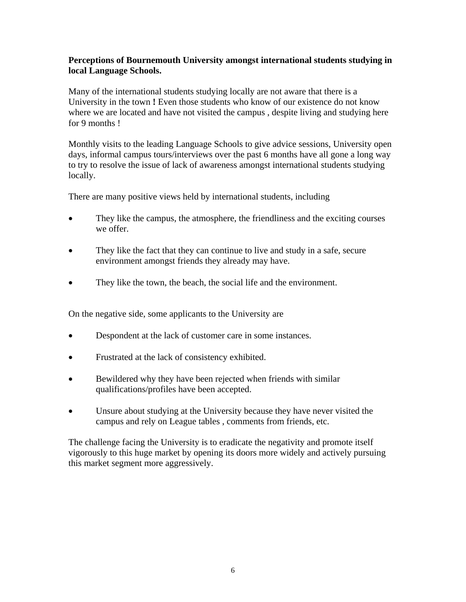### **Perceptions of Bournemouth University amongst international students studying in local Language Schools.**

Many of the international students studying locally are not aware that there is a University in the town **!** Even those students who know of our existence do not know where we are located and have not visited the campus, despite living and studying here for 9 months !

Monthly visits to the leading Language Schools to give advice sessions, University open days, informal campus tours/interviews over the past 6 months have all gone a long way to try to resolve the issue of lack of awareness amongst international students studying locally.

There are many positive views held by international students, including

- They like the campus, the atmosphere, the friendliness and the exciting courses we offer.
- They like the fact that they can continue to live and study in a safe, secure environment amongst friends they already may have.
- They like the town, the beach, the social life and the environment.

On the negative side, some applicants to the University are

- Despondent at the lack of customer care in some instances.
- Frustrated at the lack of consistency exhibited.
- Bewildered why they have been rejected when friends with similar qualifications/profiles have been accepted.
- Unsure about studying at the University because they have never visited the campus and rely on League tables , comments from friends, etc.

The challenge facing the University is to eradicate the negativity and promote itself vigorously to this huge market by opening its doors more widely and actively pursuing this market segment more aggressively.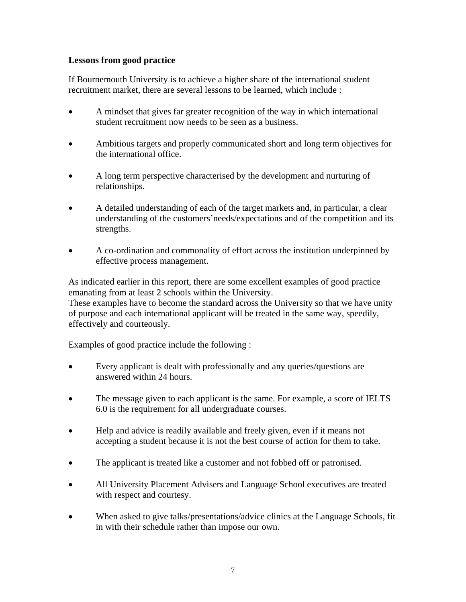# **Lessons from good practice**

If Bournemouth University is to achieve a higher share of the international student recruitment market, there are several lessons to be learned, which include :

- A mindset that gives far greater recognition of the way in which international student recruitment now needs to be seen as a business.
- Ambitious targets and properly communicated short and long term objectives for the international office.
- A long term perspective characterised by the development and nurturing of relationships.
- A detailed understanding of each of the target markets and, in particular, a clear understanding of the customers'needs/expectations and of the competition and its strengths.
- A co-ordination and commonality of effort across the institution underpinned by effective process management.

As indicated earlier in this report, there are some excellent examples of good practice emanating from at least 2 schools within the University. These examples have to become the standard across the University so that we have unity of purpose and each international applicant will be treated in the same way, speedily, effectively and courteously.

Examples of good practice include the following :

- Every applicant is dealt with professionally and any queries/questions are answered within 24 hours.
- The message given to each applicant is the same. For example, a score of IELTS 6.0 is the requirement for all undergraduate courses.
- Help and advice is readily available and freely given, even if it means not accepting a student because it is not the best course of action for them to take.
- The applicant is treated like a customer and not fobbed off or patronised.
- All University Placement Advisers and Language School executives are treated with respect and courtesy.
- When asked to give talks/presentations/advice clinics at the Language Schools, fit in with their schedule rather than impose our own.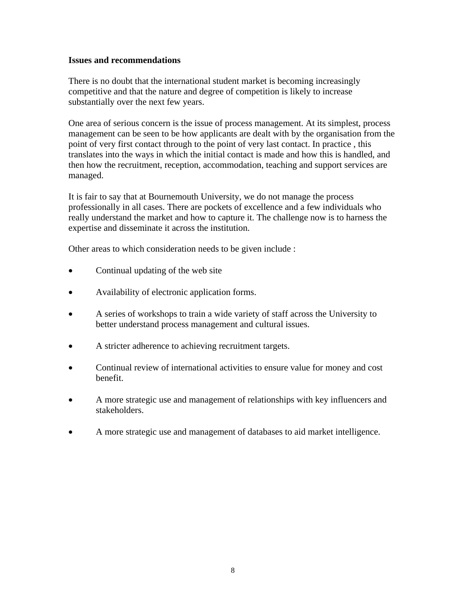#### **Issues and recommendations**

There is no doubt that the international student market is becoming increasingly competitive and that the nature and degree of competition is likely to increase substantially over the next few years.

One area of serious concern is the issue of process management. At its simplest, process management can be seen to be how applicants are dealt with by the organisation from the point of very first contact through to the point of very last contact. In practice , this translates into the ways in which the initial contact is made and how this is handled, and then how the recruitment, reception, accommodation, teaching and support services are managed.

It is fair to say that at Bournemouth University, we do not manage the process professionally in all cases. There are pockets of excellence and a few individuals who really understand the market and how to capture it. The challenge now is to harness the expertise and disseminate it across the institution.

Other areas to which consideration needs to be given include :

- Continual updating of the web site
- Availability of electronic application forms.
- A series of workshops to train a wide variety of staff across the University to better understand process management and cultural issues.
- A stricter adherence to achieving recruitment targets.
- Continual review of international activities to ensure value for money and cost benefit.
- A more strategic use and management of relationships with key influencers and stakeholders.
- A more strategic use and management of databases to aid market intelligence.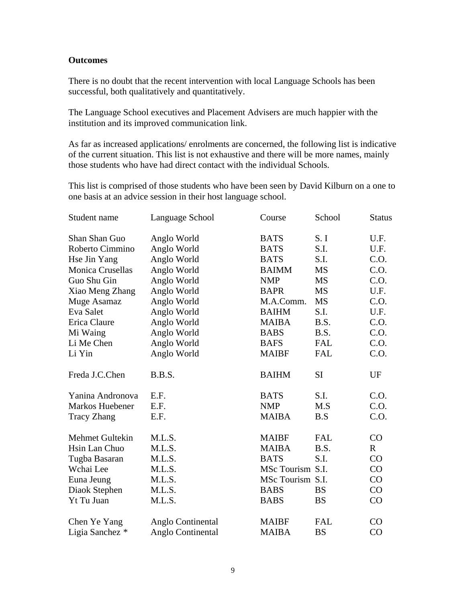#### **Outcomes**

There is no doubt that the recent intervention with local Language Schools has been successful, both qualitatively and quantitatively.

The Language School executives and Placement Advisers are much happier with the institution and its improved communication link.

As far as increased applications/ enrolments are concerned, the following list is indicative of the current situation. This list is not exhaustive and there will be more names, mainly those students who have had direct contact with the individual Schools.

This list is comprised of those students who have been seen by David Kilburn on a one to one basis at an advice session in their host language school.

| Student name       | Language School   | Course           | School     | <b>Status</b> |
|--------------------|-------------------|------------------|------------|---------------|
| Shan Shan Guo      | Anglo World       | <b>BATS</b>      | S. I       | U.F.          |
| Roberto Cimmino    | Anglo World       | <b>BATS</b>      | S.I.       | U.F.          |
| Hse Jin Yang       | Anglo World       | <b>BATS</b>      | S.I.       | C.O.          |
| Monica Crusellas   | Anglo World       | <b>BAIMM</b>     | MS         | C.O.          |
| Guo Shu Gin        | Anglo World       | <b>NMP</b>       | <b>MS</b>  | C.O.          |
| Xiao Meng Zhang    | Anglo World       | <b>BAPR</b>      | <b>MS</b>  | U.F.          |
| Muge Asamaz        | Anglo World       | M.A.Comm.        | <b>MS</b>  | C.O.          |
| Eva Salet          | Anglo World       | <b>BAIHM</b>     | S.I.       | U.F.          |
| Erica Claure       | Anglo World       | <b>MAIBA</b>     | B.S.       | C.O.          |
| Mi Waing           | Anglo World       | <b>BABS</b>      | B.S.       | C.O.          |
| Li Me Chen         | Anglo World       | <b>BAFS</b>      | <b>FAL</b> | C.O.          |
| Li Yin             | Anglo World       | <b>MAIBF</b>     | <b>FAL</b> | C.O.          |
| Freda J.C.Chen     | B.B.S.            | <b>BAIHM</b>     | <b>SI</b>  | UF            |
| Yanina Andronova   | E.F.              | <b>BATS</b>      | S.I.       | C.O.          |
| Markos Huebener    | E.F.              | <b>NMP</b>       | M.S        | C.0.          |
| <b>Tracy Zhang</b> | E.F.              | <b>MAIBA</b>     | B.S        | C.O.          |
| Mehmet Gultekin    | M.L.S.            | <b>MAIBF</b>     | <b>FAL</b> | CO            |
| Hsin Lan Chuo      | M.L.S.            | <b>MAIBA</b>     | B.S.       | $\mathbf R$   |
| Tugba Basaran      | M.L.S.            | <b>BATS</b>      | S.I.       | CO            |
| Wchai Lee          | M.L.S.            | MSc Tourism S.I. |            | CO            |
| Euna Jeung         | M.L.S.            | MSc Tourism S.I. |            | CO            |
| Diaok Stephen      | M.L.S.            | <b>BABS</b>      | <b>BS</b>  | CO            |
| Yt Tu Juan         | M.L.S.            | <b>BABS</b>      | <b>BS</b>  | CO            |
| Chen Ye Yang       | Anglo Continental | <b>MAIBF</b>     | <b>FAL</b> | CO            |
| Ligia Sanchez *    | Anglo Continental | <b>MAIBA</b>     | <b>BS</b>  | CO            |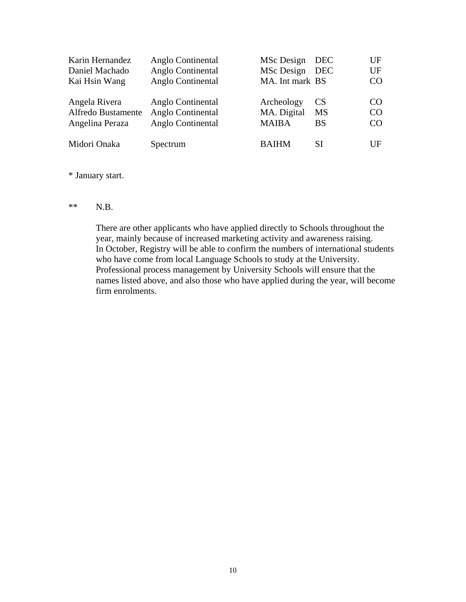| Karin Hernandez<br>Daniel Machado<br>Kai Hsin Wang     | Anglo Continental<br>Anglo Continental<br>Anglo Continental | MSc Design<br>MSc Design<br>MA. Int mark BS | <b>DEC</b><br><b>DEC</b>            | UF<br>UF<br>CO <sub>1</sub>              |
|--------------------------------------------------------|-------------------------------------------------------------|---------------------------------------------|-------------------------------------|------------------------------------------|
| Angela Rivera<br>Alfredo Bustamente<br>Angelina Peraza | Anglo Continental<br>Anglo Continental<br>Anglo Continental | Archeology<br>MA. Digital<br><b>MAIBA</b>   | <b>CS</b><br><b>MS</b><br><b>BS</b> | CO <sub>1</sub><br>CO <sub>1</sub><br>CO |
| Midori Onaka                                           | Spectrum                                                    | <b>BAIHM</b>                                | SI                                  | UF                                       |

#### \* January start.

#### $**$  N.B.

There are other applicants who have applied directly to Schools throughout the year, mainly because of increased marketing activity and awareness raising. In October, Registry will be able to confirm the numbers of international students who have come from local Language Schools to study at the University. Professional process management by University Schools will ensure that the names listed above, and also those who have applied during the year, will become firm enrolments.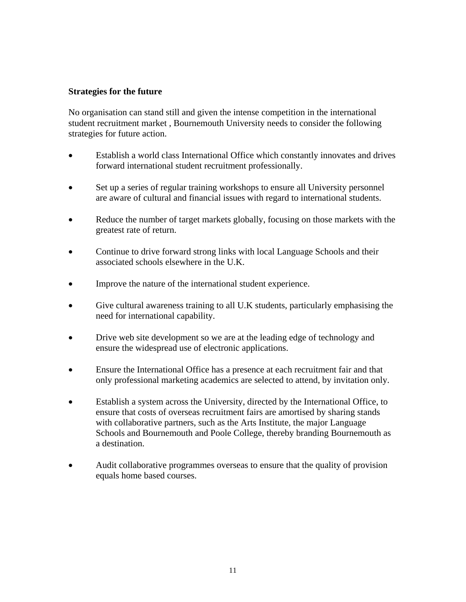#### **Strategies for the future**

No organisation can stand still and given the intense competition in the international student recruitment market , Bournemouth University needs to consider the following strategies for future action.

- Establish a world class International Office which constantly innovates and drives forward international student recruitment professionally.
- Set up a series of regular training workshops to ensure all University personnel are aware of cultural and financial issues with regard to international students.
- Reduce the number of target markets globally, focusing on those markets with the greatest rate of return.
- Continue to drive forward strong links with local Language Schools and their associated schools elsewhere in the U.K.
- Improve the nature of the international student experience.
- Give cultural awareness training to all U.K students, particularly emphasising the need for international capability.
- Drive web site development so we are at the leading edge of technology and ensure the widespread use of electronic applications.
- Ensure the International Office has a presence at each recruitment fair and that only professional marketing academics are selected to attend, by invitation only.
- Establish a system across the University, directed by the International Office, to ensure that costs of overseas recruitment fairs are amortised by sharing stands with collaborative partners, such as the Arts Institute, the major Language Schools and Bournemouth and Poole College, thereby branding Bournemouth as a destination.
- Audit collaborative programmes overseas to ensure that the quality of provision equals home based courses.